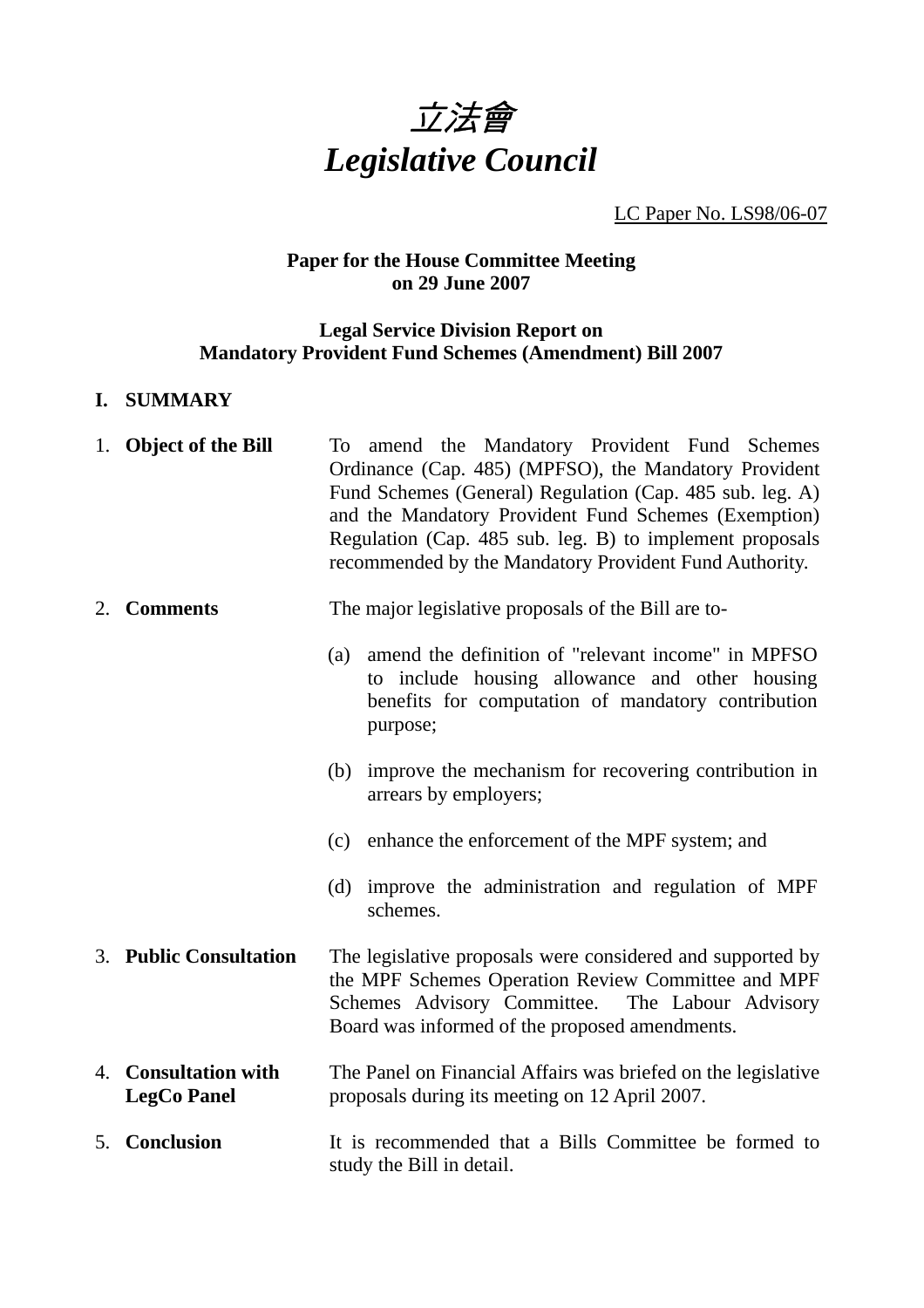

LC Paper No. LS98/06-07

# **Paper for the House Committee Meeting on 29 June 2007**

## **Legal Service Division Report on Mandatory Provident Fund Schemes (Amendment) Bill 2007**

## **I. SUMMARY**

| 1. Object of the Bill                      | To amend the Mandatory Provident Fund Schemes<br>Ordinance (Cap. 485) (MPFSO), the Mandatory Provident<br>Fund Schemes (General) Regulation (Cap. 485 sub. leg. A)<br>and the Mandatory Provident Fund Schemes (Exemption)<br>Regulation (Cap. 485 sub. leg. B) to implement proposals<br>recommended by the Mandatory Provident Fund Authority. |
|--------------------------------------------|--------------------------------------------------------------------------------------------------------------------------------------------------------------------------------------------------------------------------------------------------------------------------------------------------------------------------------------------------|
| 2. Comments                                | The major legislative proposals of the Bill are to-                                                                                                                                                                                                                                                                                              |
|                                            | amend the definition of "relevant income" in MPFSO<br>(a)<br>to include housing allowance and other housing<br>benefits for computation of mandatory contribution<br>purpose;                                                                                                                                                                    |
|                                            | (b) improve the mechanism for recovering contribution in<br>arrears by employers;                                                                                                                                                                                                                                                                |
|                                            | (c) enhance the enforcement of the MPF system; and                                                                                                                                                                                                                                                                                               |
|                                            | (d) improve the administration and regulation of MPF<br>schemes.                                                                                                                                                                                                                                                                                 |
| 3. Public Consultation                     | The legislative proposals were considered and supported by<br>the MPF Schemes Operation Review Committee and MPF<br>Schemes Advisory Committee. The Labour Advisory<br>Board was informed of the proposed amendments.                                                                                                                            |
| 4. Consultation with<br><b>LegCo Panel</b> | The Panel on Financial Affairs was briefed on the legislative<br>proposals during its meeting on 12 April 2007.                                                                                                                                                                                                                                  |
| 5. Conclusion                              | It is recommended that a Bills Committee be formed to<br>study the Bill in detail.                                                                                                                                                                                                                                                               |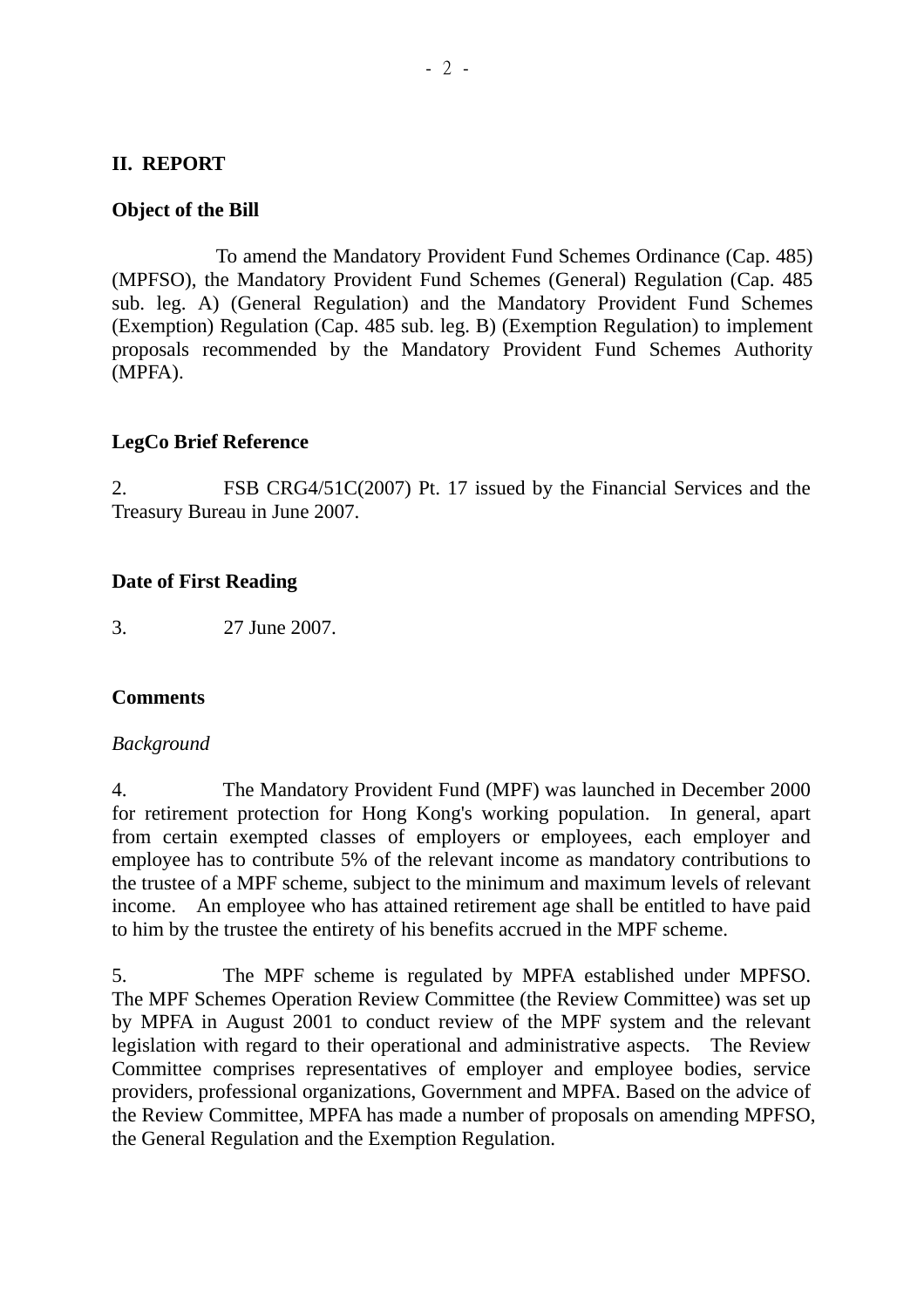### **II. REPORT**

#### **Object of the Bill**

 To amend the Mandatory Provident Fund Schemes Ordinance (Cap. 485) (MPFSO), the Mandatory Provident Fund Schemes (General) Regulation (Cap. 485 sub. leg. A) (General Regulation) and the Mandatory Provident Fund Schemes (Exemption) Regulation (Cap. 485 sub. leg. B) (Exemption Regulation) to implement proposals recommended by the Mandatory Provident Fund Schemes Authority (MPFA).

### **LegCo Brief Reference**

2. FSB CRG4/51C(2007) Pt. 17 issued by the Financial Services and the Treasury Bureau in June 2007.

#### **Date of First Reading**

3. 27 June 2007.

#### **Comments**

#### *Background*

4. The Mandatory Provident Fund (MPF) was launched in December 2000 for retirement protection for Hong Kong's working population. In general, apart from certain exempted classes of employers or employees, each employer and employee has to contribute 5% of the relevant income as mandatory contributions to the trustee of a MPF scheme, subject to the minimum and maximum levels of relevant income. An employee who has attained retirement age shall be entitled to have paid to him by the trustee the entirety of his benefits accrued in the MPF scheme.

5. The MPF scheme is regulated by MPFA established under MPFSO. The MPF Schemes Operation Review Committee (the Review Committee) was set up by MPFA in August 2001 to conduct review of the MPF system and the relevant legislation with regard to their operational and administrative aspects. The Review Committee comprises representatives of employer and employee bodies, service providers, professional organizations, Government and MPFA. Based on the advice of the Review Committee, MPFA has made a number of proposals on amending MPFSO, the General Regulation and the Exemption Regulation.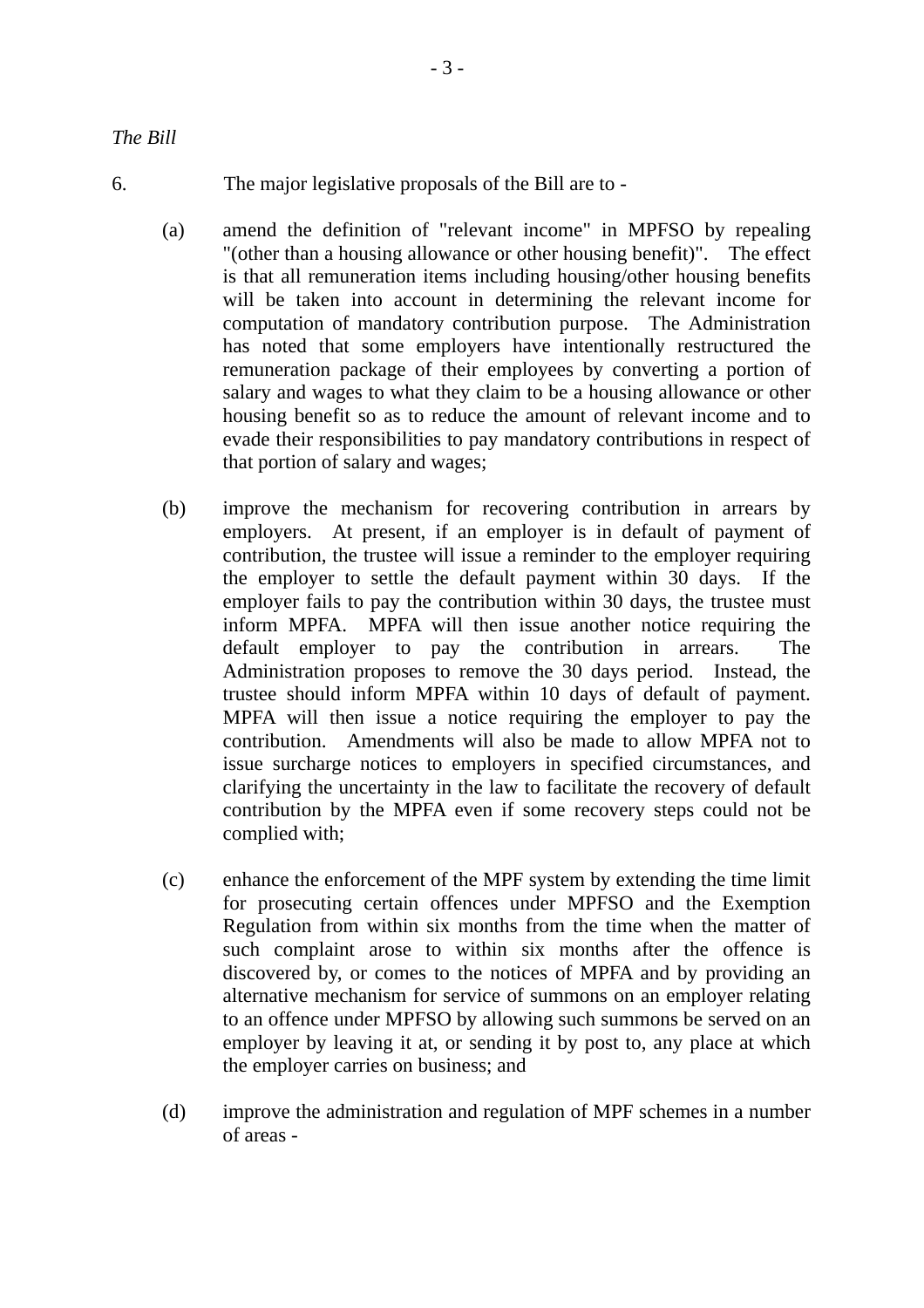- 6. The major legislative proposals of the Bill are to
	- (a) amend the definition of "relevant income" in MPFSO by repealing "(other than a housing allowance or other housing benefit)". The effect is that all remuneration items including housing/other housing benefits will be taken into account in determining the relevant income for computation of mandatory contribution purpose. The Administration has noted that some employers have intentionally restructured the remuneration package of their employees by converting a portion of salary and wages to what they claim to be a housing allowance or other housing benefit so as to reduce the amount of relevant income and to evade their responsibilities to pay mandatory contributions in respect of that portion of salary and wages;
	- (b) improve the mechanism for recovering contribution in arrears by employers. At present, if an employer is in default of payment of contribution, the trustee will issue a reminder to the employer requiring the employer to settle the default payment within 30 days. If the employer fails to pay the contribution within 30 days, the trustee must inform MPFA. MPFA will then issue another notice requiring the default employer to pay the contribution in arrears. The Administration proposes to remove the 30 days period. Instead, the trustee should inform MPFA within 10 days of default of payment. MPFA will then issue a notice requiring the employer to pay the contribution. Amendments will also be made to allow MPFA not to issue surcharge notices to employers in specified circumstances, and clarifying the uncertainty in the law to facilitate the recovery of default contribution by the MPFA even if some recovery steps could not be complied with;
	- (c) enhance the enforcement of the MPF system by extending the time limit for prosecuting certain offences under MPFSO and the Exemption Regulation from within six months from the time when the matter of such complaint arose to within six months after the offence is discovered by, or comes to the notices of MPFA and by providing an alternative mechanism for service of summons on an employer relating to an offence under MPFSO by allowing such summons be served on an employer by leaving it at, or sending it by post to, any place at which the employer carries on business; and
	- (d) improve the administration and regulation of MPF schemes in a number of areas -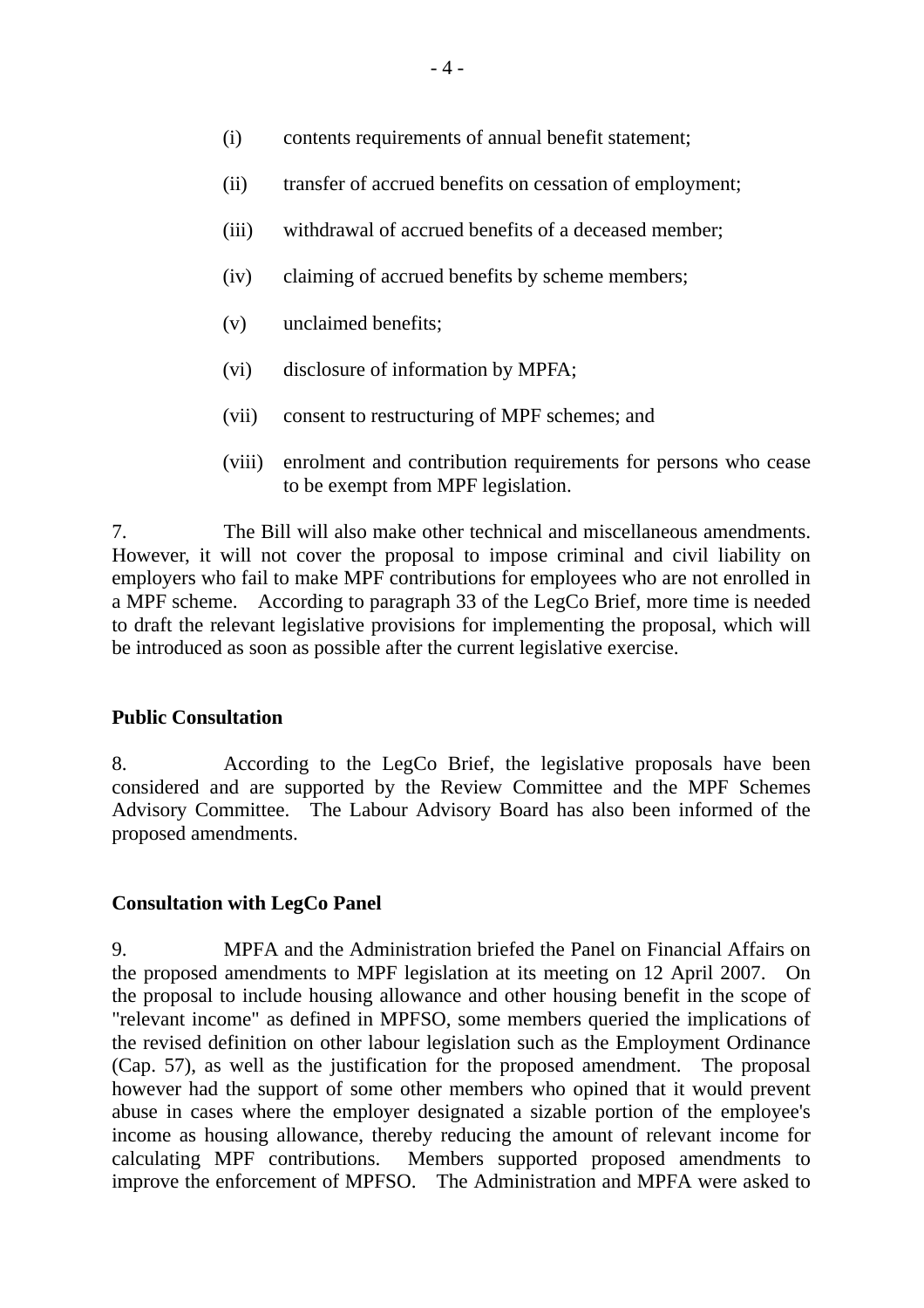- (i) contents requirements of annual benefit statement;
- (ii) transfer of accrued benefits on cessation of employment;
- (iii) withdrawal of accrued benefits of a deceased member;
- (iv) claiming of accrued benefits by scheme members;
- (v) unclaimed benefits;
- (vi) disclosure of information by MPFA;
- (vii) consent to restructuring of MPF schemes; and
- (viii) enrolment and contribution requirements for persons who cease to be exempt from MPF legislation.

7. The Bill will also make other technical and miscellaneous amendments. However, it will not cover the proposal to impose criminal and civil liability on employers who fail to make MPF contributions for employees who are not enrolled in a MPF scheme. According to paragraph 33 of the LegCo Brief, more time is needed to draft the relevant legislative provisions for implementing the proposal, which will be introduced as soon as possible after the current legislative exercise.

#### **Public Consultation**

8. According to the LegCo Brief, the legislative proposals have been considered and are supported by the Review Committee and the MPF Schemes Advisory Committee. The Labour Advisory Board has also been informed of the proposed amendments.

#### **Consultation with LegCo Panel**

9. MPFA and the Administration briefed the Panel on Financial Affairs on the proposed amendments to MPF legislation at its meeting on 12 April 2007. On the proposal to include housing allowance and other housing benefit in the scope of "relevant income" as defined in MPFSO, some members queried the implications of the revised definition on other labour legislation such as the Employment Ordinance (Cap. 57), as well as the justification for the proposed amendment. The proposal however had the support of some other members who opined that it would prevent abuse in cases where the employer designated a sizable portion of the employee's income as housing allowance, thereby reducing the amount of relevant income for calculating MPF contributions. Members supported proposed amendments to improve the enforcement of MPFSO. The Administration and MPFA were asked to